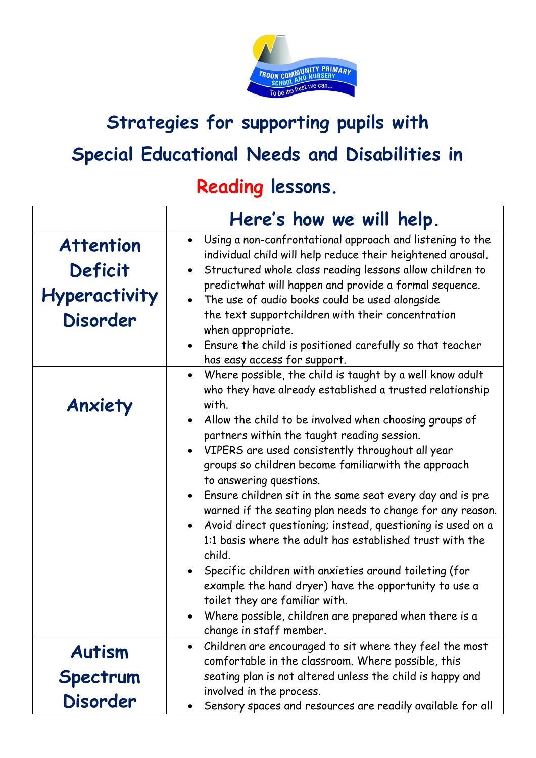

## **Strategies for supporting pupils with Special Educational Needs and Disabilities in**

## **Reading lessons.**

|                                                                        | Here's how we will help.                                                                                                                                                                                                                                                                                                                                                                                                                                                                                                                                                                                                                                                                                                                                                                                                                                                                           |
|------------------------------------------------------------------------|----------------------------------------------------------------------------------------------------------------------------------------------------------------------------------------------------------------------------------------------------------------------------------------------------------------------------------------------------------------------------------------------------------------------------------------------------------------------------------------------------------------------------------------------------------------------------------------------------------------------------------------------------------------------------------------------------------------------------------------------------------------------------------------------------------------------------------------------------------------------------------------------------|
| <b>Attention</b><br>Deficit<br><b>Hyperactivity</b><br><b>Disorder</b> | Using a non-confrontational approach and listening to the<br>$\bullet$<br>individual child will help reduce their heightened arousal.<br>Structured whole class reading lessons allow children to<br>predictwhat will happen and provide a formal sequence.<br>• The use of audio books could be used alongside<br>the text supportchildren with their concentration<br>when appropriate.<br>Ensure the child is positioned carefully so that teacher<br>has easy access for support.                                                                                                                                                                                                                                                                                                                                                                                                              |
| Anxiety                                                                | Where possible, the child is taught by a well know adult<br>$\bullet$<br>who they have already established a trusted relationship<br>with.<br>Allow the child to be involved when choosing groups of<br>partners within the taught reading session.<br>VIPERS are used consistently throughout all year<br>groups so children become familiarwith the approach<br>to answering questions.<br>Ensure children sit in the same seat every day and is pre<br>warned if the seating plan needs to change for any reason.<br>Avoid direct questioning; instead, questioning is used on a<br>1:1 basis where the adult has established trust with the<br>child.<br>Specific children with anxieties around toileting (for<br>example the hand dryer) have the opportunity to use a<br>toilet they are familiar with.<br>Where possible, children are prepared when there is a<br>change in staff member. |
| <b>Autism</b>                                                          | Children are encouraged to sit where they feel the most<br>comfortable in the classroom. Where possible, this                                                                                                                                                                                                                                                                                                                                                                                                                                                                                                                                                                                                                                                                                                                                                                                      |
| Spectrum                                                               | seating plan is not altered unless the child is happy and                                                                                                                                                                                                                                                                                                                                                                                                                                                                                                                                                                                                                                                                                                                                                                                                                                          |
| <b>Disorder</b>                                                        | involved in the process.<br>Sensory spaces and resources are readily available for all                                                                                                                                                                                                                                                                                                                                                                                                                                                                                                                                                                                                                                                                                                                                                                                                             |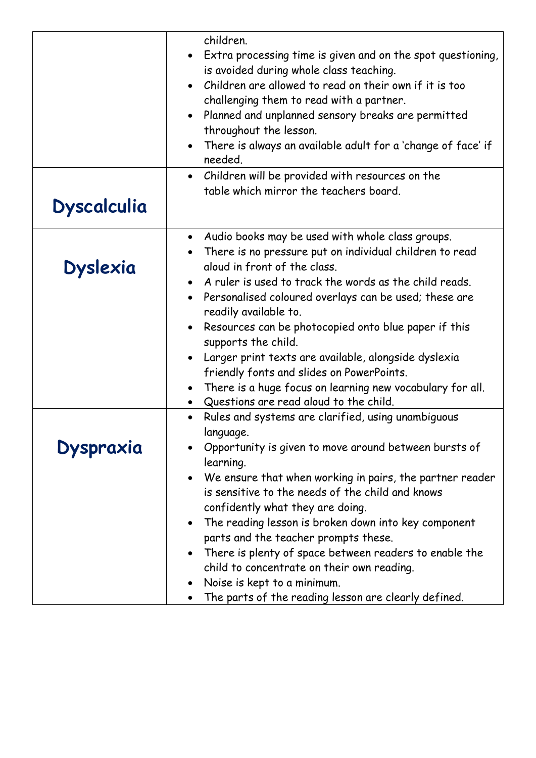|                    | children.<br>• Extra processing time is given and on the spot questioning,<br>is avoided during whole class teaching.<br>Children are allowed to read on their own if it is too<br>challenging them to read with a partner.<br>Planned and unplanned sensory breaks are permitted<br>throughout the lesson.<br>There is always an available adult for a 'change of face' if<br>$\bullet$<br>needed.<br>Children will be provided with resources on the<br>$\bullet$ |
|--------------------|---------------------------------------------------------------------------------------------------------------------------------------------------------------------------------------------------------------------------------------------------------------------------------------------------------------------------------------------------------------------------------------------------------------------------------------------------------------------|
| <b>Dyscalculia</b> | table which mirror the teachers board.                                                                                                                                                                                                                                                                                                                                                                                                                              |
|                    | Audio books may be used with whole class groups.<br>$\bullet$<br>There is no pressure put on individual children to read                                                                                                                                                                                                                                                                                                                                            |
| <b>Dyslexia</b>    | aloud in front of the class.                                                                                                                                                                                                                                                                                                                                                                                                                                        |
|                    | A ruler is used to track the words as the child reads.                                                                                                                                                                                                                                                                                                                                                                                                              |
|                    | • Personalised coloured overlays can be used; these are<br>readily available to.                                                                                                                                                                                                                                                                                                                                                                                    |
|                    | Resources can be photocopied onto blue paper if this<br>supports the child.                                                                                                                                                                                                                                                                                                                                                                                         |
|                    | Larger print texts are available, alongside dyslexia                                                                                                                                                                                                                                                                                                                                                                                                                |
|                    | friendly fonts and slides on PowerPoints.                                                                                                                                                                                                                                                                                                                                                                                                                           |
|                    |                                                                                                                                                                                                                                                                                                                                                                                                                                                                     |
|                    | There is a huge focus on learning new vocabulary for all.<br>Questions are read aloud to the child.                                                                                                                                                                                                                                                                                                                                                                 |
|                    | Rules and systems are clarified, using unambiguous                                                                                                                                                                                                                                                                                                                                                                                                                  |
|                    | language.                                                                                                                                                                                                                                                                                                                                                                                                                                                           |
|                    | Opportunity is given to move around between bursts of                                                                                                                                                                                                                                                                                                                                                                                                               |
| Dyspraxia          | learning.                                                                                                                                                                                                                                                                                                                                                                                                                                                           |
|                    | We ensure that when working in pairs, the partner reader                                                                                                                                                                                                                                                                                                                                                                                                            |
|                    | is sensitive to the needs of the child and knows                                                                                                                                                                                                                                                                                                                                                                                                                    |
|                    | confidently what they are doing.                                                                                                                                                                                                                                                                                                                                                                                                                                    |
|                    | The reading lesson is broken down into key component<br>$\bullet$                                                                                                                                                                                                                                                                                                                                                                                                   |
|                    | parts and the teacher prompts these.                                                                                                                                                                                                                                                                                                                                                                                                                                |
|                    | There is plenty of space between readers to enable the                                                                                                                                                                                                                                                                                                                                                                                                              |
|                    | child to concentrate on their own reading.                                                                                                                                                                                                                                                                                                                                                                                                                          |
|                    | Noise is kept to a minimum.                                                                                                                                                                                                                                                                                                                                                                                                                                         |
|                    | The parts of the reading lesson are clearly defined.                                                                                                                                                                                                                                                                                                                                                                                                                |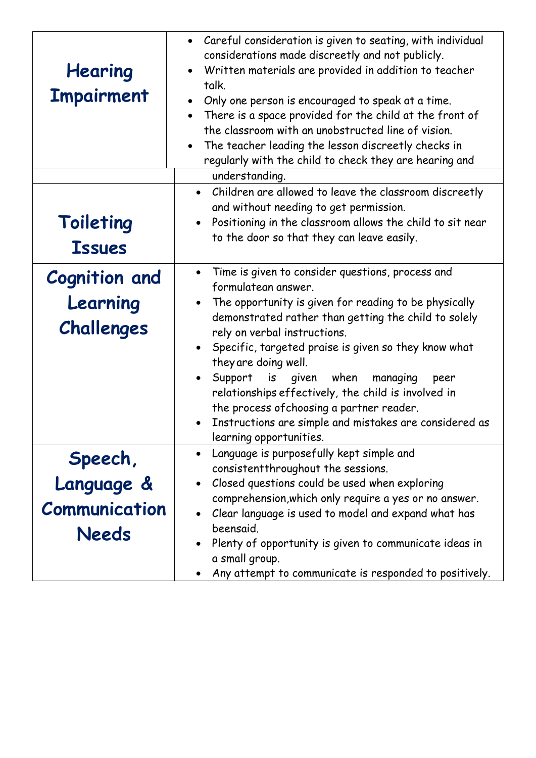| Hearing<br><b>Impairment</b>                           | • Careful consideration is given to seating, with individual<br>considerations made discreetly and not publicly.<br>Written materials are provided in addition to teacher<br>talk.<br>Only one person is encouraged to speak at a time.<br>There is a space provided for the child at the front of<br>$\bullet$<br>the classroom with an unobstructed line of vision.<br>The teacher leading the lesson discreetly checks in<br>regularly with the child to check they are hearing and                                                                      |
|--------------------------------------------------------|-------------------------------------------------------------------------------------------------------------------------------------------------------------------------------------------------------------------------------------------------------------------------------------------------------------------------------------------------------------------------------------------------------------------------------------------------------------------------------------------------------------------------------------------------------------|
|                                                        | understanding.                                                                                                                                                                                                                                                                                                                                                                                                                                                                                                                                              |
| Toileting<br><b>Issues</b>                             | Children are allowed to leave the classroom discreetly<br>$\bullet$<br>and without needing to get permission.<br>Positioning in the classroom allows the child to sit near<br>$\bullet$<br>to the door so that they can leave easily.                                                                                                                                                                                                                                                                                                                       |
| <b>Cognition and</b><br>Learning<br>Challenges         | Time is given to consider questions, process and<br>$\bullet$<br>formulatean answer.<br>The opportunity is given for reading to be physically<br>demonstrated rather than getting the child to solely<br>rely on verbal instructions.<br>Specific, targeted praise is given so they know what<br>they are doing well.<br>Support is given when<br>managing<br>peer<br>relationships effectively, the child is involved in<br>the process of choosing a partner reader.<br>Instructions are simple and mistakes are considered as<br>learning opportunities. |
| Speech,<br>Language &<br><b>Communication</b><br>Needs | Language is purposefully kept simple and<br>consistent throughout the sessions.<br>Closed questions could be used when exploring<br>comprehension, which only require a yes or no answer.<br>Clear language is used to model and expand what has<br>beensaid.<br>Plenty of opportunity is given to communicate ideas in<br>a small group.<br>Any attempt to communicate is responded to positively.                                                                                                                                                         |